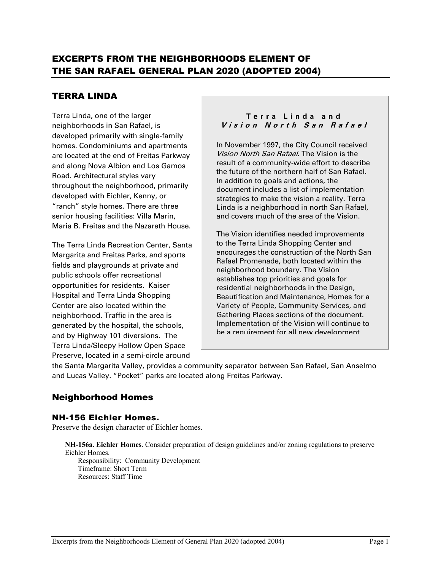# EXCERPTS FROM THE NEIGHBORHOODS ELEMENT OF THE SAN RAFAEL GENERAL PLAN 2020 (ADOPTED 2004)

# TERRA LINDA

Terra Linda, one of the larger neighborhoods in San Rafael, is developed primarily with single-family homes. Condominiums and apartments are located at the end of Freitas Parkway and along Nova Albion and Los Gamos Road. Architectural styles vary throughout the neighborhood, primarily developed with Eichler, Kenny, or "ranch" style homes. There are three senior housing facilities: Villa Marin, Maria B. Freitas and the Nazareth House.

The Terra Linda Recreation Center, Santa Margarita and Freitas Parks, and sports fields and playgrounds at private and public schools offer recreational opportunities for residents. Kaiser Hospital and Terra Linda Shopping Center are also located within the neighborhood. Traffic in the area is generated by the hospital, the schools, and by Highway 101 diversions. The Terra Linda/Sleepy Hollow Open Space Preserve, located in a semi-circle around

#### **Terra Linda and Vision North San Rafael**

In November 1997, the City Council received Vision North San Rafael. The Vision is the result of a community-wide effort to describe the future of the northern half of San Rafael. In addition to goals and actions, the document includes a list of implementation strategies to make the vision a reality. Terra Linda is a neighborhood in north San Rafael, and covers much of the area of the Vision.

The Vision identifies needed improvements to the Terra Linda Shopping Center and encourages the construction of the North San Rafael Promenade, both located within the neighborhood boundary. The Vision establishes top priorities and goals for residential neighborhoods in the Design, Beautification and Maintenance, Homes for a Variety of People, Community Services, and Gathering Places sections of the document. Implementation of the Vision will continue to be a requirement for all new development

the Santa Margarita Valley, provides a community separator between San Rafael, San Anselmo and Lucas Valley. "Pocket" parks are located along Freitas Parkway.

neighborhoods.

# Neighborhood Homes

## NH-156 Eichler Homes.

Preserve the design character of Eichler homes.

**NH-156a. Eichler Homes**. Consider preparation of design guidelines and/or zoning regulations to preserve Eichler Homes.

Responsibility: Community Development Timeframe: Short Term Resources: Staff Time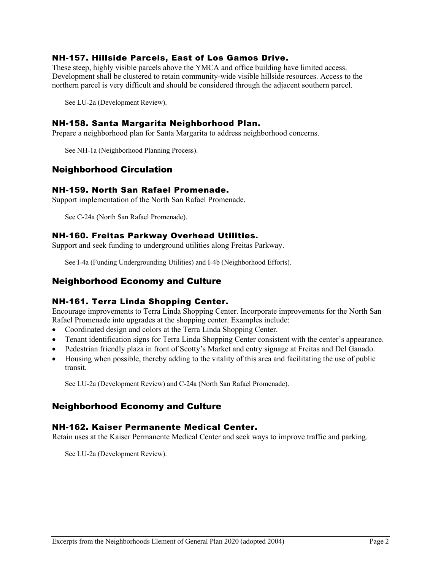## NH-157. Hillside Parcels, East of Los Gamos Drive.

These steep, highly visible parcels above the YMCA and office building have limited access. Development shall be clustered to retain community-wide visible hillside resources. Access to the northern parcel is very difficult and should be considered through the adjacent southern parcel.

See LU-2a (Development Review).

## NH-158. Santa Margarita Neighborhood Plan.

Prepare a neighborhood plan for Santa Margarita to address neighborhood concerns.

See NH-1a (Neighborhood Planning Process).

# Neighborhood Circulation

## NH-159. North San Rafael Promenade.

Support implementation of the North San Rafael Promenade.

See C-24a (North San Rafael Promenade).

## NH-160. Freitas Parkway Overhead Utilities.

Support and seek funding to underground utilities along Freitas Parkway.

See I-4a (Funding Undergrounding Utilities) and I-4b (Neighborhood Efforts).

## Neighborhood Economy and Culture

## NH-161. Terra Linda Shopping Center.

Encourage improvements to Terra Linda Shopping Center. Incorporate improvements for the North San Rafael Promenade into upgrades at the shopping center. Examples include:

- Coordinated design and colors at the Terra Linda Shopping Center.
- Tenant identification signs for Terra Linda Shopping Center consistent with the center's appearance.
- Pedestrian friendly plaza in front of Scotty's Market and entry signage at Freitas and Del Ganado.
- Housing when possible, thereby adding to the vitality of this area and facilitating the use of public transit.

See LU-2a (Development Review) and C-24a (North San Rafael Promenade).

# Neighborhood Economy and Culture

## NH-162. Kaiser Permanente Medical Center.

Retain uses at the Kaiser Permanente Medical Center and seek ways to improve traffic and parking.

See LU-2a (Development Review).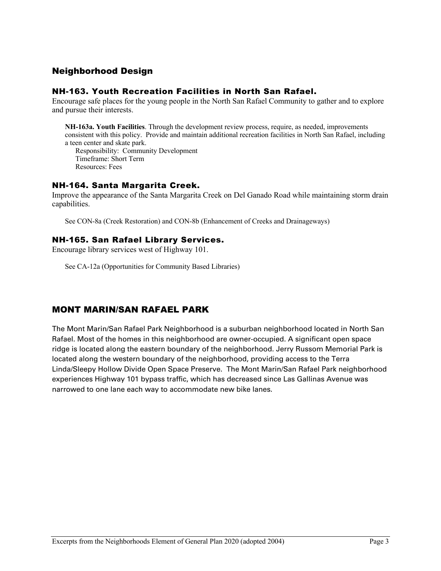## Neighborhood Design

## NH-163. Youth Recreation Facilities in North San Rafael.

Encourage safe places for the young people in the North San Rafael Community to gather and to explore and pursue their interests.

**NH-163a. Youth Facilities**. Through the development review process, require, as needed, improvements consistent with this policy. Provide and maintain additional recreation facilities in North San Rafael, including a teen center and skate park.

 Responsibility: Community Development Timeframe: Short Term Resources: Fees

## NH-164. Santa Margarita Creek.

Improve the appearance of the Santa Margarita Creek on Del Ganado Road while maintaining storm drain capabilities.

See CON-8a (Creek Restoration) and CON-8b (Enhancement of Creeks and Drainageways)

#### NH-165. San Rafael Library Services.

Encourage library services west of Highway 101.

See CA-12a (Opportunities for Community Based Libraries)

# MONT MARIN/SAN RAFAEL PARK

The Mont Marin/San Rafael Park Neighborhood is a suburban neighborhood located in North San Rafael. Most of the homes in this neighborhood are owner-occupied. A significant open space ridge is located along the eastern boundary of the neighborhood. Jerry Russom Memorial Park is located along the western boundary of the neighborhood, providing access to the Terra Linda/Sleepy Hollow Divide Open Space Preserve. The Mont Marin/San Rafael Park neighborhood experiences Highway 101 bypass traffic, which has decreased since Las Gallinas Avenue was narrowed to one lane each way to accommodate new bike lanes.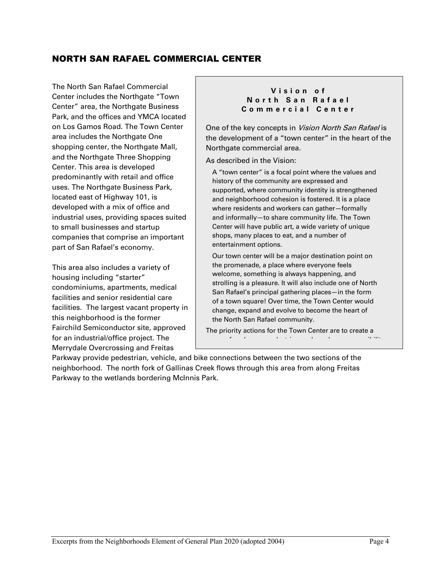# NORTH SAN RAFAEL COMMERCIAL CENTER

The North San Rafael Commercial Center includes the Northgate "Town Center" area, the Northgate Business Park, and the offices and YMCA located on Los Gamos Road. The Town Center area includes the Northgate One shopping center, the Northgate Mall, and the Northgate Three Shopping Center. This area is developed predominantly with retail and office uses. The Northgate Business Park, located east of Highway 101, is developed with a mix of office and industrial uses, providing spaces suited to small businesses and startup companies that comprise an important part of San Rafael's economy.

This area also includes a variety of housing including "starter" condominiums, apartments, medical facilities and senior residential care facilities. The largest vacant property in this neighborhood is the former Fairchild Semiconductor site, approved for an industrial/office project. The Merrydale Overcrossing and Freitas

#### **Vision of North San Rafael Commercial Center**

One of the key concepts in Vision North San Rafael is the development of a "town center" in the heart of the Northgate commercial area.

As described in the Vision:

A "town center" is a focal point where the values and history of the community are expressed and supported, where community identity is strengthened and neighborhood cohesion is fostered. It is a place where residents and workers can gather—formally and informally—to share community life. The Town Center will have public art, a wide variety of unique shops, many places to eat, and a number of entertainment options.

Our town center will be a major destination point on the promenade, a place where everyone feels welcome, something is always happening, and strolling is a pleasure. It will also include one of North San Rafael's principal gathering places—in the form of a town square! Over time, the Town Center would change, expand and evolve to become the heart of the North San Rafael community.

The priority actions for the Town Center are to create a sense of enclosure, pedestrian-scale and easy accessibility

and to provide high quality retail stores for  $\alpha$ 

Parkway provide pedestrian, vehicle, and bike connections between the two sections of the neighborhood. The north fork of Gallinas Creek flows through this area from along Freitas Parkway to the wetlands bordering McInnis Park.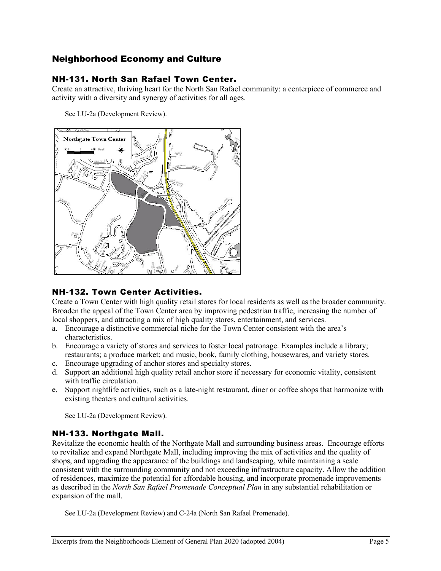# Neighborhood Economy and Culture

## NH-131. North San Rafael Town Center.

Create an attractive, thriving heart for the North San Rafael community: a centerpiece of commerce and activity with a diversity and synergy of activities for all ages.

See LU-2a (Development Review).



## NH-132. Town Center Activities.

Create a Town Center with high quality retail stores for local residents as well as the broader community. Broaden the appeal of the Town Center area by improving pedestrian traffic, increasing the number of local shoppers, and attracting a mix of high quality stores, entertainment, and services.

- a. Encourage a distinctive commercial niche for the Town Center consistent with the area's characteristics.
- b. Encourage a variety of stores and services to foster local patronage. Examples include a library; restaurants; a produce market; and music, book, family clothing, housewares, and variety stores.
- c. Encourage upgrading of anchor stores and specialty stores.
- d. Support an additional high quality retail anchor store if necessary for economic vitality, consistent with traffic circulation.
- e. Support nightlife activities, such as a late-night restaurant, diner or coffee shops that harmonize with existing theaters and cultural activities.

See LU-2a (Development Review).

# NH-133. Northgate Mall.

Revitalize the economic health of the Northgate Mall and surrounding business areas. Encourage efforts to revitalize and expand Northgate Mall, including improving the mix of activities and the quality of shops, and upgrading the appearance of the buildings and landscaping, while maintaining a scale consistent with the surrounding community and not exceeding infrastructure capacity. Allow the addition of residences, maximize the potential for affordable housing, and incorporate promenade improvements as described in the *North San Rafael Promenade Conceptual Plan* in any substantial rehabilitation or expansion of the mall.

See LU-2a (Development Review) and C-24a (North San Rafael Promenade).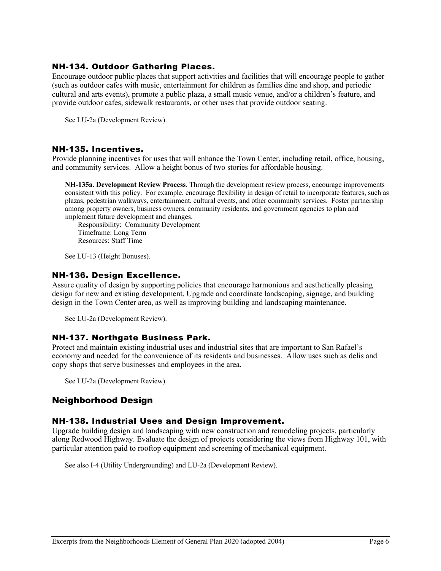## NH-134. Outdoor Gathering Places.

Encourage outdoor public places that support activities and facilities that will encourage people to gather (such as outdoor cafes with music, entertainment for children as families dine and shop, and periodic cultural and arts events), promote a public plaza, a small music venue, and/or a children's feature, and provide outdoor cafes, sidewalk restaurants, or other uses that provide outdoor seating.

See LU-2a (Development Review).

#### NH-135. Incentives.

Provide planning incentives for uses that will enhance the Town Center, including retail, office, housing, and community services. Allow a height bonus of two stories for affordable housing.

**NH-135a. Development Review Process**. Through the development review process, encourage improvements consistent with this policy. For example, encourage flexibility in design of retail to incorporate features, such as plazas, pedestrian walkways, entertainment, cultural events, and other community services. Foster partnership among property owners, business owners, community residents, and government agencies to plan and implement future development and changes.

Responsibility: Community Development Timeframe: Long Term Resources: Staff Time

See LU-13 (Height Bonuses).

#### NH-136. Design Excellence.

Assure quality of design by supporting policies that encourage harmonious and aesthetically pleasing design for new and existing development. Upgrade and coordinate landscaping, signage, and building design in the Town Center area, as well as improving building and landscaping maintenance.

See LU-2a (Development Review).

## NH-137. Northgate Business Park.

Protect and maintain existing industrial uses and industrial sites that are important to San Rafael's economy and needed for the convenience of its residents and businesses. Allow uses such as delis and copy shops that serve businesses and employees in the area.

See LU-2a (Development Review).

## Neighborhood Design

## NH-138. Industrial Uses and Design Improvement.

Upgrade building design and landscaping with new construction and remodeling projects, particularly along Redwood Highway. Evaluate the design of projects considering the views from Highway 101, with particular attention paid to rooftop equipment and screening of mechanical equipment.

See also I-4 (Utility Undergrounding) and LU-2a (Development Review).